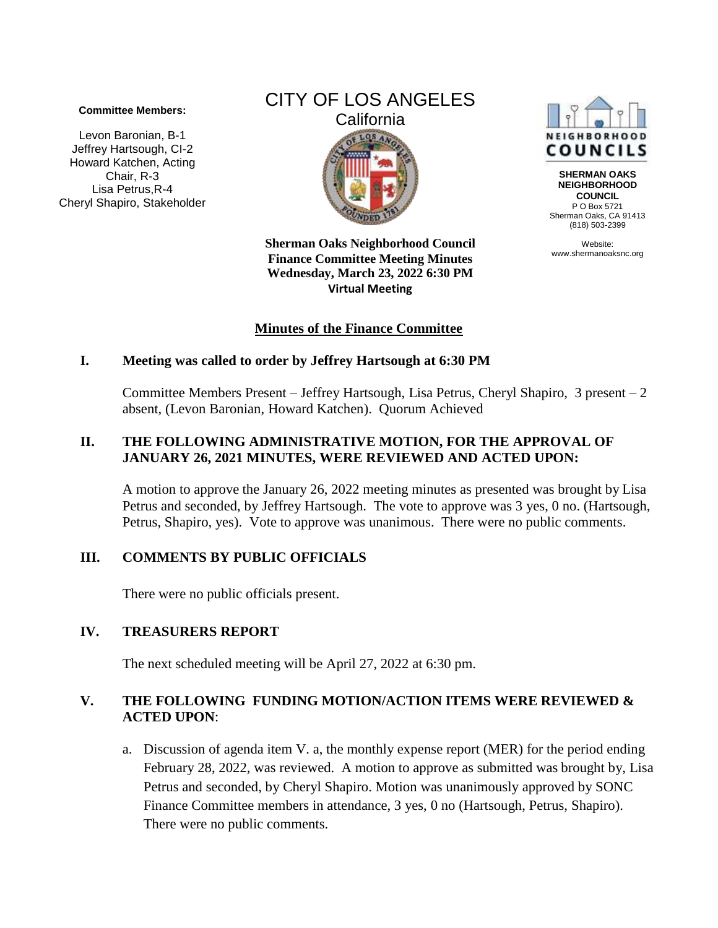#### **Committee Members:**

Levon Baronian, B-1 Jeffrey Hartsough, CI-2 Howard Katchen, Acting Chair, R-3 Lisa Petrus,R-4 Cheryl Shapiro, Stakeholder

# CITY OF LOS ANGELES **California**  $COS$

**Sherman Oaks Neighborhood Council Finance Committee Meeting Minutes Wednesday, March 23, 2022 6:30 PM Virtual Meeting** 

## **Minutes of the Finance Committee**

### **I. Meeting was called to order by Jeffrey Hartsough at 6:30 PM**

Committee Members Present – Jeffrey Hartsough, Lisa Petrus, Cheryl Shapiro, 3 present – 2 absent, (Levon Baronian, Howard Katchen). Quorum Achieved

#### **II. THE FOLLOWING ADMINISTRATIVE MOTION, FOR THE APPROVAL OF JANUARY 26, 2021 MINUTES, WERE REVIEWED AND ACTED UPON:**

A motion to approve the January 26, 2022 meeting minutes as presented was brought by Lisa Petrus and seconded, by Jeffrey Hartsough. The vote to approve was 3 yes, 0 no. (Hartsough, Petrus, Shapiro, yes). Vote to approve was unanimous. There were no public comments.

### **III. COMMENTS BY PUBLIC OFFICIALS**

There were no public officials present.

### **IV. TREASURERS REPORT**

The next scheduled meeting will be April 27, 2022 at 6:30 pm.

### **V. THE FOLLOWING FUNDING MOTION/ACTION ITEMS WERE REVIEWED & ACTED UPON**:

a. Discussion of agenda item V. a, the monthly expense report (MER) for the period ending February 28, 2022, was reviewed. A motion to approve as submitted was brought by, Lisa Petrus and seconded, by Cheryl Shapiro. Motion was unanimously approved by SONC Finance Committee members in attendance, 3 yes, 0 no (Hartsough, Petrus, Shapiro). There were no public comments.



**SHERMAN OAKS NEIGHBORHOOD COUNCIL** P O Box 5721 Sherman Oaks, CA 91413 (818) 503-2399

Website: www.shermanoaksnc.org